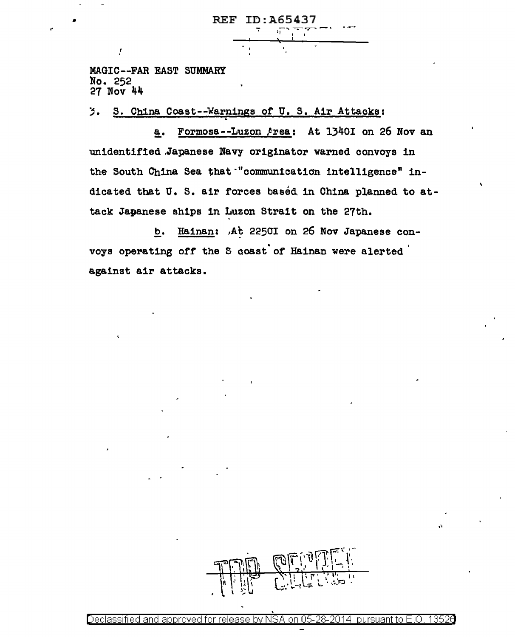**REF ID: A65437** 

MAGIC--FAR EAST SUMMARY No. 252  $27$  Nov  $44$ 

 $\overline{I}$ 

3. S. China Coast--Warnings of U.S. Air Attacks:

Formosa--Luzon Area: At 1340I on 26 Nov an  $a_{\bullet}$ unidentified Japanese Navy originator warned convoys in the South China Sea that "communication intelligence" indicated that U. S. air forces based in China planned to attack Japanese ships in Luzon Strait on the 27th.

b. Hainan: At 2250I on 26 Nov Japanese convoys operating off the S coast of Hainan were alerted against air attacks.

Declassified and approved for release by NSA on 05-28-2014 pursuant to F.O. 13526